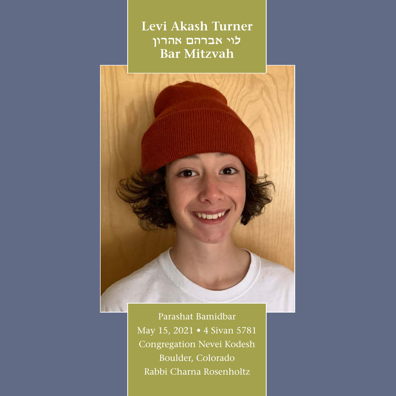**Levi Akash Turner** לוי אברהם אהרון **Bar Mitzvah**



Parashat Bamidbar May 15, 2021 • 4 Sivan 5781 Congregation Nevei Kodesh Boulder, Colorado Rabbi Charna Rosenholtz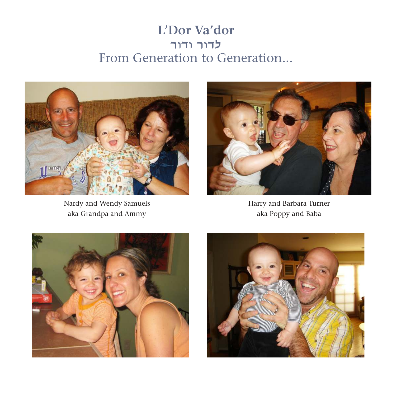# **L'Dor Va'dor** לדור ודור From Generation to Generation...



Nardy and Wendy Samuels aka Grandpa and Ammy



Harry and Barbara Turner aka Poppy and Baba



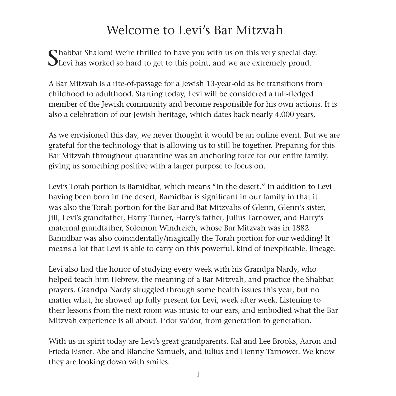# Welcome to Levi's Bar Mitzvah

Shabbat Shalom! We're thrilled to have you with us on this very special day.<br>Show thas worked so hard to get to this point, and we are extremely proud. habbat Shalom! We're thrilled to have you with us on this very special day.

A Bar Mitzvah is a rite-of-passage for a Jewish 13-year-old as he transitions from childhood to adulthood. Starting today, Levi will be considered a full-fledged member of the Jewish community and become responsible for his own actions. It is also a celebration of our Jewish heritage, which dates back nearly 4,000 years.

As we envisioned this day, we never thought it would be an online event. But we are grateful for the technology that is allowing us to still be together. Preparing for this Bar Mitzvah throughout quarantine was an anchoring force for our entire family, giving us something positive with a larger purpose to focus on.

Levi's Torah portion is Bamidbar, which means "In the desert." In addition to Levi having been born in the desert, Bamidbar is significant in our family in that it was also the Torah portion for the Bar and Bat Mitzvahs of Glenn, Glenn's sister, Jill, Levi's grandfather, Harry Turner, Harry's father, Julius Tarnower, and Harry's maternal grandfather, Solomon Windreich, whose Bar Mitzvah was in 1882. Bamidbar was also coincidentally/magically the Torah portion for our wedding! It means a lot that Levi is able to carry on this powerful, kind of inexplicable, lineage.

Levi also had the honor of studying every week with his Grandpa Nardy, who helped teach him Hebrew, the meaning of a Bar Mitzvah, and practice the Shabbat prayers. Grandpa Nardy struggled through some health issues this year, but no matter what, he showed up fully present for Levi, week after week. Listening to their lessons from the next room was music to our ears, and embodied what the Bar Mitzvah experience is all about. L'dor va'dor, from generation to generation.

With us in spirit today are Levi's great grandparents, Kal and Lee Brooks, Aaron and Frieda Eisner, Abe and Blanche Samuels, and Julius and Henny Tarnower. We know they are looking down with smiles.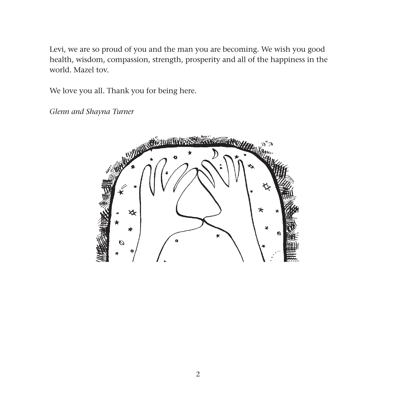Levi, we are so proud of you and the man you are becoming. We wish you good health, wisdom, compassion, strength, prosperity and all of the happiness in the world. Mazel tov.

We love you all. Thank you for being here.

*Glenn and Shayna Turner*

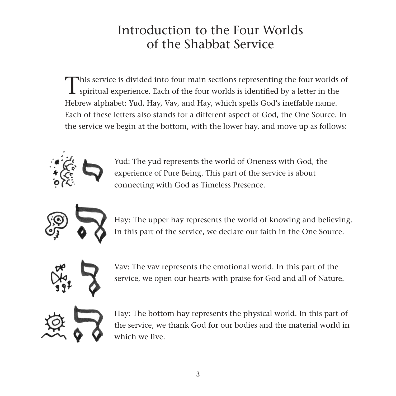# Introduction to the Four Worlds of the Shabbat Service

This service is divided into four main sections representing the four worlds spiritual experience. Each of the four worlds is identified by a letter in the his service is divided into four main sections representing the four worlds of Hebrew alphabet: Yud, Hay, Vav, and Hay, which spells God's ineffable name. Each of these letters also stands for a different aspect of God, the One Source. In the service we begin at the bottom, with the lower hay, and move up as follows:



Yud: The yud represents the world of Oneness with God, the experience of Pure Being. This part of the service is about connecting with God as Timeless Presence.



Hay: The upper hay represents the world of knowing and believing. In this part of the service, we declare our faith in the One Source.



Vav: The vav represents the emotional world. In this part of the service, we open our hearts with praise for God and all of Nature.



Hay: The bottom hay represents the physical world. In this part of the service, we thank God for our bodies and the material world in which we live.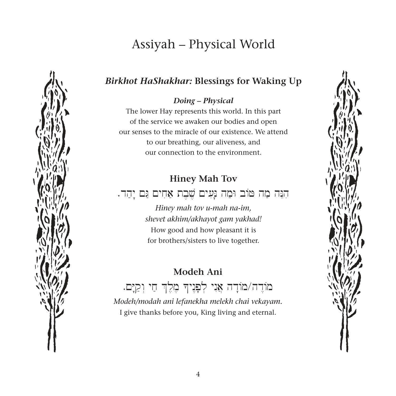# Assiyah - Physical World



# **Birkhot HaShakhar: Blessings for Waking Up**

#### Doing - Physical

The lower Hay represents this world. In this part of the service we awaken our bodies and open our senses to the miracle of our existence. We attend to our breathing, our aliveness, and our connection to the environment.

### **Hiney Mah Tov**

# הִנֵּה מַה טֹּוֹב וּמַה נָעִים שֵׁבֵת אַחִים נֵּם יָהַד.

Hiney mah tov u-mah na-im, shevet akhim/akhayot gam yakhad! How good and how pleasant it is for brothers/sisters to live together.

# Modeh Ani מוֹדֶה/מוֹדָה אֲנִי לְפְנֶיךָ מֶלֶךְ חַי וְקַיָּם. Modeh/modah ani lefanekha melekh chai vekayam. I give thanks before you, King living and eternal.

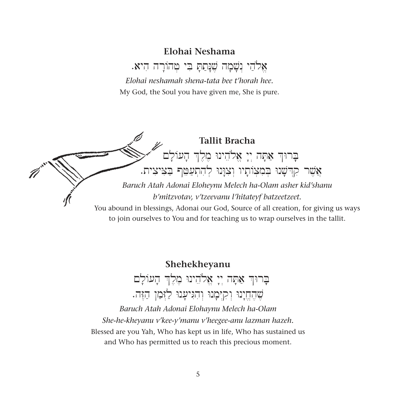### **Elohai Neshama**

אֵלֹהַי נִשָּׁמָה שֻׁנַּתַתַּ בִּי טִהוֹרָה הִיא.

*Elohai neshamah shena-tata bee t'horah hee.* My God, the Soul you have given me, She is pure.



# **Shehekheyanu** בְרוּךְ אַתָּה יִי אֵלֹהֵינוּ מֵלֵךְ הָעוֹלָם ּשֶׁהֶחֱיָנוּ וְקִיִּמְנוּ וְהִגִּיעָנוּ לַזְּמַן הַזֶּה.

*Baruch Atah Adonai Elohaynu Melech ha-Olam She-he-kheyanu v'kee-y'manu v'heegee-anu lazman hazeh.* Blessed are you Yah, Who has kept us in life, Who has sustained us and Who has permitted us to reach this precious moment.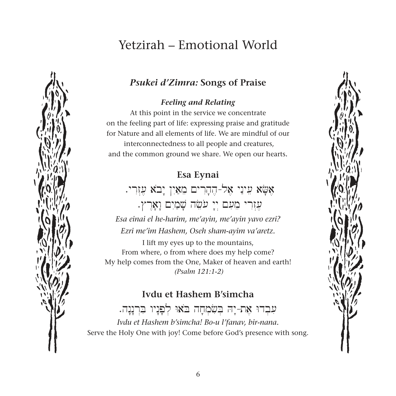# Yetzirah – Emotional World

# Psukei d'Zimra: Songs of Praise

### **Feeling and Relating**

At this point in the service we concentrate on the feeling part of life: expressing praise and gratitude for Nature and all elements of life. We are mindful of our interconnectedness to all people and creatures. and the common ground we share. We open our hearts.

# Esa Eynai אֲשָׂא עִינַי אֶל-הֶהְרִים מֵאַיִן יָבֹא עֶזֶרִי. עִזְרִי מֵעָם יְיָ עֹשֵׂה שָׁמַיִם וְאָרֶץ.

Esa einai el he-harim, me'ayin, me'ayin yavo ezri? Ezri me'im Hashem, Oseh sham-ayim va'aretz.

I lift my eyes up to the mountains. From where, o from where does my help come? My help comes from the One, Maker of heaven and earth! (Psalm 121:1-2)

# Ivdu et Hashem B'simcha

# עִבְדוּ אֶת-יָה בִּשְׂמָחָה בֹּאוּ לְפָנָיו בִּרְנָנָה.

Ivdu et Hashem b'simcha! Bo-u l'fanav, bir-nana. Serve the Holy One with joy! Come before God's presence with song.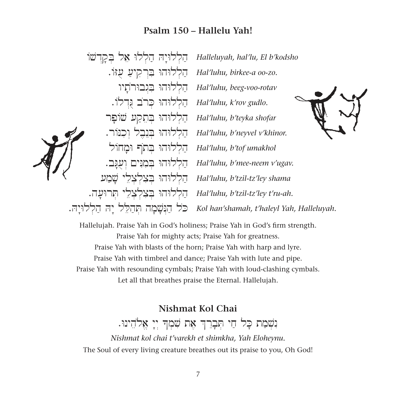### **Psalm 150 – Hallelu Yah!**

הללייה הללו אל בקדשו ≥/Z[u ['yqir"Bi WhWll]h' *Hal'luhu, birkee-a oo-zo.* יה<sup>ן</sup> Hal'luhu, beeg-voo-rotav<br>דַלְלוּהוּ בִּגְבוּרהָיו ≥/ld"GU brøK] WhWll]h' *Hal'luhu, k'rov gudlo.* rp;/v [q'teB] WhWll]h' *Hal'luhu, b'teyka shofar* ≥r/Nkiw" lb,nEB] WhWll]h' *Hal'luhu, b'neyvel v'khinor.*  $\vdash$ הַלְלוּהוּ בְּתֹף וּמָחוֹל *Hal'luhu, b'tof umakhol* ≥bG:[uw" µyNImiB] WhWll]h' *Hal'luhu, b'mee-neem v'ugav.* [m'v; ylex]l]xiB] WhWll]h' *Hal'luhu, b'tzil-tz'ley shama*  $\Gamma$ הַלְלוּהוּ בְצִלְצְלֵי הְרוּעָה. Hal'luhu, b'tzil-tz'ley t'ru-ah. ≥Hy:Wll]h' Hy: lLeh'T] hm;v;N"h' lKø *Kol han'shamah, t'haleyl Yah, Halleluyah. Halleluyah, hal'lu, El b'kodsho*



Hallelujah. Praise Yah in God's holiness; Praise Yah in God's firm strength. Praise Yah for mighty acts; Praise Yah for greatness. Praise Yah with blasts of the horn; Praise Yah with harp and lyre. Praise Yah with timbrel and dance; Praise Yah with lute and pipe. Praise Yah with resounding cymbals; Praise Yah with loud-clashing cymbals. Let all that breathes praise the Eternal. Hallelujah.

**Nishmat Kol Chai** נִשָׁמַת כָּל חַי תִּבְרֵךְ אֵת שִׁמְךְ יְיָ אֱלֹהֵינוּ. *Nishmat kol chai t'varekh et shimkha, Yah Eloheynu.* The Soul of every living creature breathes out its praise to you, Oh God!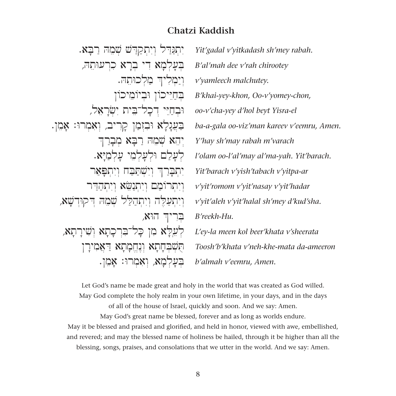#### Chatzi Kaddish

יִתְגַּדַל וְיִתְקַדַּשׁ שָׁמֶהּ רַבָּא. בִעַלְמַא דִי בְרָא כְרְעוּתֶהּ, וִיַמְלִיךְ מַלְכוּתֵהּ. בחייכון וביומיכון וּבְחַיִּי דְכָל־בֵּית יְשָׂרָאֲלֹ, ַבַּעֲנָלָא וּבִזְמַן קָרִיב, וִאָמְרוּ: אָמֵן. יהא שמה רבא מברד לִעַלַם וּלִעַלְמִי עַלְמַיָּא. יתִבְרַךְ וְיִשְׁתַּבָּח וְיִתְפַּאַר ויתרומם ויתנשא ויתהדר וִיִתִּעַלֵּה וְיִתְהַלַּל שָׁמֵהּ דְּקוּדְשָׁא, בִּרִיךְ הוּא, לְעֵלָא מִן כָּל־בִּרְכָתָא וְשִׁירָתָא, הַשִּׁבְּחָתָא וְנֵחֱמָתָא דַאֲמִירָן בעלמא, ואמרו: אמן.

Yit'gadal v'vitkadash sh'mey rabah. B'al'mah dee v'rah chirootey v'yamleech malchutey. B'khai-yey-khon, Oo-v'yomey-chon, oo-v'cha-yey d'hol beyt Yisra-el ba-a-gala oo-viz'man kareev v'eemru, Amen. Y'hay sh'may rabah m'varach l'olam oo-l'al'may al'ma-yah. Yit'barach. Yit'barach v'yish'tabach v'yitpa-ar v'vit'romom v'vit'nasay v'vit'hadar v'yit'aleh v'yit'halal sh'mey d'kud'sha. B'reekh-Hu. L'ey-la meen kol beer'khata v'sheerata Toosh'b'khata v'neh-khe-mata da-ameeron b'almah v'eemru, Amen.

Let God's name be made great and holy in the world that was created as God willed. May God complete the holy realm in your own lifetime, in your days, and in the days of all of the house of Israel, quickly and soon. And we say: Amen. May God's great name be blessed, forever and as long as worlds endure.

May it be blessed and praised and glorified, and held in honor, viewed with awe, embellished, and revered; and may the blessed name of holiness be hailed, through it be higher than all the blessing, songs, praises, and consolations that we utter in the world. And we say: Amen.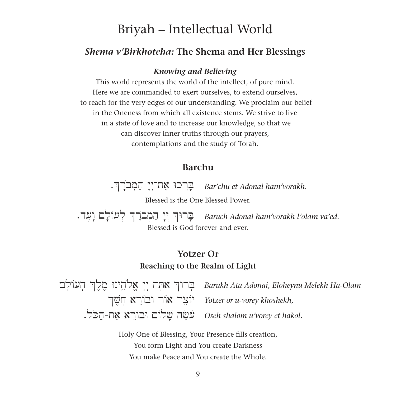# Briyah – Intellectual World

#### Shema v'Birkhoteha: The Shema and Her Blessings

#### **Knowing and Believing**

This world represents the world of the intellect, of pure mind. Here we are commanded to exert ourselves, to extend ourselves, to reach for the very edges of our understanding. We proclaim our belief in the Oneness from which all existence stems. We strive to live in a state of love and to increase our knowledge, so that we can discover inner truths through our prayers, contemplations and the study of Torah.

### **Barchu**

. בַּרְכוּ אֲת־יִי הַמְבֹרַךְ. Bar'chu et Adonai ham'vorakh.

Blessed is the One Blessed Power.

יִי הַמְבֹרְךְּ לְעוֹלָם וָעֵד. Baruch Adonai ham'vorakh l'olam va'ed. Blessed is God forever and ever.

## **Yotzer Or** Reaching to the Realm of Light

הַעוֹלָם Barukh Ata Adonai, Eloheynu Melekh Ha-Olam יוֹצֵר אוֹר וּבוֹרֵא חְשֶׁךְ Yotzer or u-vorey khoshekh, .Oseh shalom u'vorey et hakol. עֹשֶׂה שָׁלוֹם וּבוֹרֵא אֲת-הַכֹּל.

> Holy One of Blessing, Your Presence fills creation, You form Light and You create Darkness You make Peace and You create the Whole.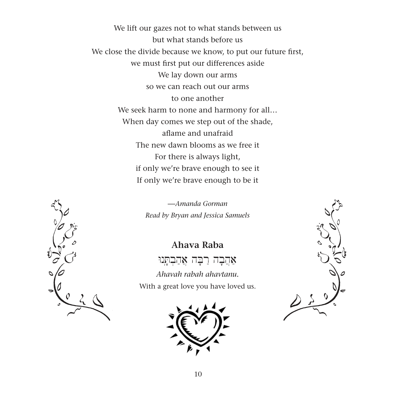We lift our gazes not to what stands between us but what stands before us We close the divide because we know, to put our future first, we must first put our differences aside We lay down our arms so we can reach out our arms to one another We seek harm to none and harmony for all… When day comes we step out of the shade, aflame and unafraid The new dawn blooms as we free it For there is always light, if only we're brave enough to see it If only we're brave enough to be it

> —*Amanda Gorman Read by Bryan and Jessica Samuels*

### **Ahava Raba**

אהבה רבה אהבת**ו**י

*Ahavah rabah ahavtanu.* With a great love you have loved us.





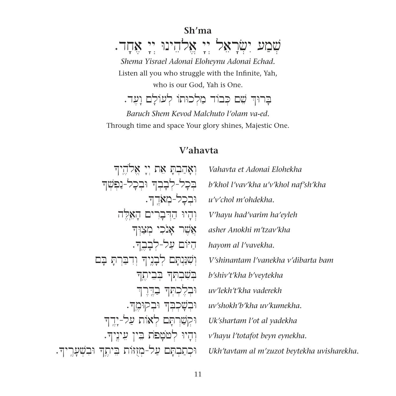Sh'ma שִׁמַע יִשָּׂרָאֵל יִיַ אֲלְהֵינוּ יָיַ אֲחֲד. Shema Yisrael Adonai Eloheynu Adonai Echad. Listen all you who struggle with the Infinite, Yah, who is our God. Yah is One. ברוד שם כבוד מלכותו לעולם ועד. Baruch Shem Kevod Malchuto l'olam va-ed.

Through time and space Your glory shines, Majestic One.

### V'ahavta

וְאָהַבְתָּ אֶת יְיָ אֱלֹהֱיִךְ היום על-לִבְבֵךּ. וְשִׁנַּּוְתָם לְבָנֵיךְ וִדְבַּרְתָ בָּם בִשָּׁבְתְּךָ בְּבֵיתֶךָ וּבִלְכִתְּךְ בְדֶרֶךְ וּבִשָּׁכִבִּךְ וּבִקוּמֵךְ. וּקְשַׁרִתָּם לְאוֹת עַל-יָדֱך וְהֵיוּ לִמֹטַפֹּת בִּין עֵינֵיהּ. וּכְתַבְתָּם עַל-מָזְזוֹת בִיתֵךְ וּבִשְׁעֲרֵיךָ.

Vahavta et Adonai Elohekha עקל-לָבָבְךְ וּבְכָל-נַפִּשְׁךָ b′khol l′vav′kha u′v′khol naf'sh′kha . ובכל-מארה u'v'chol m'ohdekha *ו*ּהְיוּ הַדִּבְרִים הָאֲלֵה V'hayu had'varim ha'eyleh אַשֶׁר אַנֹכִי מִצַוּךְ asher Anokhi m'tzav'kha havom al l'vavekha. V'shinantam l'vanekha v'dibarta bam b'shiv't'kha b'veytekha uv'lekh't'kha vaderekh uv'shokh'b'kha uv'kumekha. Uk'shartam l'ot al yadekha v'hayu l'totafot beyn eynekha. Ukh'tavtam al m'zuzot beytekha uvisharekha.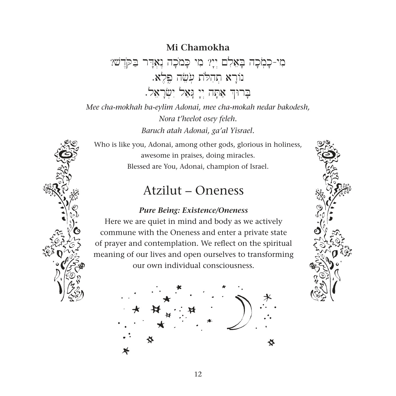# **Mi Chamokha**  $\alpha$ מִי-כָמְכָה בָּאֵלִם יְיָ? מִי כָּמֹכָה נָאֲדָר בַּקְדָשׁ  $\mathbf{B}$ נוֹרָא תְהִלֹת עְשֵׂה בֶּלֶא. בְרוּךְ אַתָה יְיָ נָאַל יִשְׂרָאֵל.

*Mee cha-mokhah ba-eylim Adonai, mee cha-mokah nedar bakodesh, Nora t'heelot osey feleh. Baruch atah Adonai, ga'al Yisrael.*

Who is like you, Adonai, among other gods, glorious in holiness, awesome in praises, doing miracles. Blessed are You, Adonai, champion of Israel.

# Atzilut – Oneness

### *Pure Being: Existence/Oneness*

Here we are quiet in mind and body as we actively commune with the Oneness and enter a private state of prayer and contemplation. We reflect on the spiritual meaning of our lives and open ourselves to transforming our own individual consciousness.





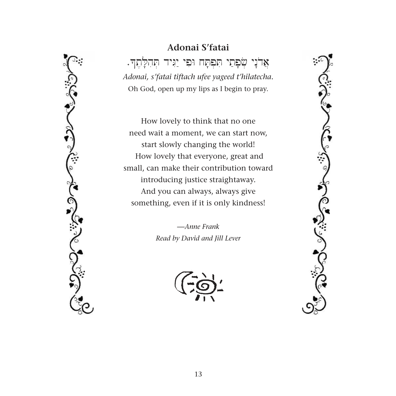# **Adonai S'fatai**

אֲדֹנָי שְׂפָתַי תִּפְתָּח וּפִ*י* יַגִּיד תְּהִלָּתֶךּ. *Adonai, s'fatai tiftach ufee yageed t'hilatecha.* Oh God, open up my lips as I begin to pray.

How lovely to think that no one need wait a moment, we can start now, start slowly changing the world! How lovely that everyone, great and small, can make their contribution toward introducing justice straightaway. And you can always, always give something, even if it is only kindness!

> —*Anne Frank Read by David and Jill Lever*



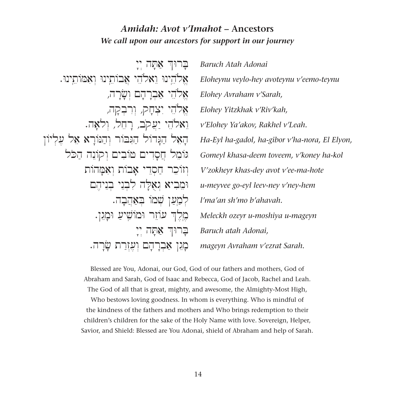## *Amidah: Avot v'Imahot* **– Ancestors** *We call upon our ancestors for support in our journey*

ּבַרוּךְ אַתָּה יִי  $\cdot$ אַלהֵינוּ וֵאלהֵי אֲבוֹתֵינוּ. וַאֲמּוֹתֵינוּ אֱלֹהֵי אַבִרְהָם וִשָּׂרָה, אֲלֹהֵי יִצְחָק, וְרִבְקָה*,* וֵאלֹהֵי יַעֲקֹב, רַחֶל, וְלִאֲה. הָאָל הַנְּדוֹל הַנִּבּוֹר וְהַנּוֹרָא אָל עֵלְיוֹן וּנֹמֵל חֲסָדִים טוֹבִים וְקוֹנֵה הַכֹּל וְזוֹכֵר חַסְדֵי אֲבוֹת וְאִמַּהוֹת וּמָבִיא גִאָלַה לִבְנֵי בְנֵיהָם למֵעֲן שָׁמוֹ בִאַ<u>ה</u>ְבַה. ֿפֵגַ∱ַד עוֹזֵר וּמוֹשִׁיעַ וּמַגֵן. ּבַרוּךְ אַתָּה יִי מגן אברהם ועזרת שרה. *Baruch Atah Adonai Eloheynu veylo-hey avoteynu v'eemo-teynu Elohey Avraham v'Sarah, Elohey Yitzkhak v'Riv'kah, v'Elohey Ya'akov, Rakhel v'Leah. Ha-Eyl ha-gadol, ha-gibor v'ha-nora, El Elyon, Gomeyl khasa-deem toveem, v'koney ha-kol V'zokheyr khas-dey avot v'ee-ma-hote u-meyvee go-eyl leev-ney v'ney-hem l'ma'an sh'mo b'ahavah. Meleckh ozeyr u-moshiya u-mageyn Baruch atah Adonai, mageyn Avraham v'ezrat Sarah.*

> Blessed are You, Adonai, our God, God of our fathers and mothers, God of Abraham and Sarah, God of Isaac and Rebecca, God of Jacob, Rachel and Leah. The God of all that is great, mighty, and awesome, the Almighty-Most High, Who bestows loving goodness. In whom is everything. Who is mindful of the kindness of the fathers and mothers and Who brings redemption to their children's children for the sake of the Holy Name with love. Sovereign, Helper, Savior, and Shield: Blessed are You Adonai, shield of Abraham and help of Sarah.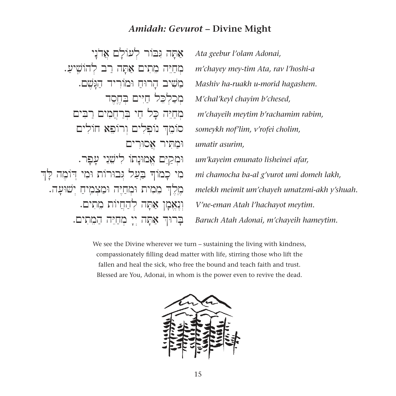#### *Amidah: Gevurot* **– Divine Might**

אַתָּה גִּבּוֹר לְעוֹלָם אֲדֹנָי |מִחַיֵּה מֵתִים אַתָּה רַב לְהוֹשֵׁיעַ. משיב הרוּח וּמוֹריד הגּשׁם. מִכַלְכֵל חַיִּים בְחֵסֵד מִחַיֵּה כָּל חַי בִּרַחֲמִים רַבִּים סומף נופלים ורופא חולים וּמַתִּיר אֲסוּרִים וּמִקַיֵּם אֲמוּנָתוֹ לִישֵׁנֵי עָפָר. מִי כַמוֹדְ בַעֲל גִּבוּרוֹת וּמִי דִּוֹמֵה לַדְּ בִּזְלֵךְ מֵמִית וּמִחַיֵּה וּמַצִמְיחַ יִשׁוּעָה. ⊥ונאמן אתה להחיות מתים ברוך אַתַּה יֵי מִחַיֵּה הַמֶּתִים. *Ata geebur l'olam Adonai, m'chayey mey-tim Ata, rav l'hoshi-a Mashiv ha-ruakh u-morid hagashem. M'chal'keyl chayim b'chesed, m'chayeih meytim b'rachamim rabim, someykh nof'lim, v'rofei cholim, umatir asurim, um'kayeim emunato lisheinei afar, mi chamocha ba-al g'vurot umi domeh lakh, melekh meimit um'chayeh umatzmi-akh y'shuah. V'ne-eman Atah l'hachayot meytim. Baruch Atah Adonai, m'chayeih hameytim.*

> We see the Divine wherever we turn – sustaining the living with kindness, compassionately filling dead matter with life, stirring those who lift the fallen and heal the sick, who free the bound and teach faith and trust. Blessed are You, Adonai, in whom is the power even to revive the dead.

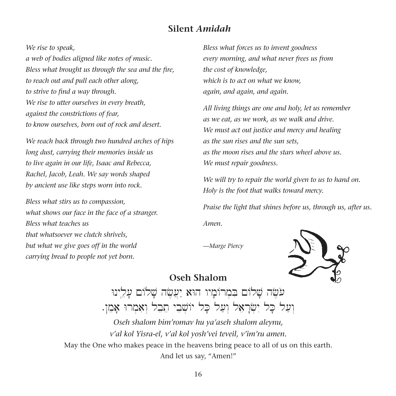### **Silent** *Amidah*

*We rise to speak,*

*a web of bodies aligned like notes of music. Bless what brought us through the sea and the fire, to reach out and pull each other along, to strive to find a way through. We rise to utter ourselves in every breath, against the constrictions of fear, to know ourselves, born out of rock and desert.*

*We reach back through two hundred arches of hips long dust, carrying their memories inside us to live again in our life, Isaac and Rebecca, Rachel, Jacob, Leah. We say words shaped by ancient use like steps worn into rock.*

*Bless what stirs us to compassion, what shows our face in the face of a stranger. Bless what teaches us that whatsoever we clutch shrivels, but what we give goes off in the world carrying bread to people not yet born.*

*Bless what forces us to invent goodness every morning, and what never frees us from the cost of knowledge, which is to act on what we know, again, and again, and again.*

*All living things are one and holy, let us remember as we eat, as we work, as we walk and drive. We must act out justice and mercy and healing as the sun rises and the sun sets, as the moon rises and the stars wheel above us. We must repair goodness.*

*We will try to repair the world given to us to hand on. Holy is the foot that walks toward mercy.*

*Praise the light that shines before us, through us, after us.*

*Amen.*

*—Marge Piercy*



### **Oseh Shalom**

עֹשֶׂה שָׁלוֹם בִמְרוֹמָיו הוּא יַעֲשֶׂה שָׁלוֹם עָלֵינוּ יְעַל כָּל יִשְׂרָאֵל וְעַל כָּל יוֹשָׁבֵי תֵבֵל וְאִמְרוּ אָמֵן.

*Oseh shalom bim'romav hu ya'aseh shalom aleynu, v'al kol Yisra-el, v'al kol yosh'vei teveil, v'im'ru amen.* May the One who makes peace in the heavens bring peace to all of us on this earth. And let us say, "Amen!"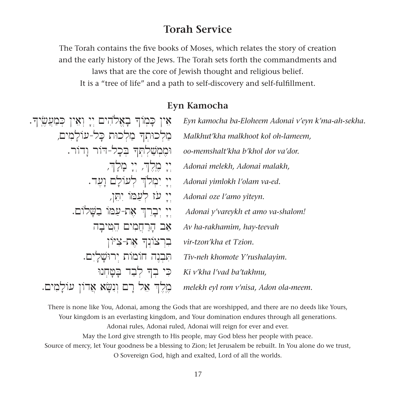# **Torah Service**

The Torah contains the five books of Moses, which relates the story of creation and the early history of the Jews. The Torah sets forth the commandments and laws that are the core of Jewish thought and religious belief.

It is a "tree of life" and a path to self-discovery and self-fulfillment.

### Eyn Kamocha

אִין כָּמְוֹךְ בְאֱלֹהִים יְיָ וְאִין כְּמַעֲשֶׂיךָ. Eyn kamocha ba-Eloheem Adonai v'eyn k'ma-ah-sekha. מַלִכוּתִךְ מַלְכוּת כָּל-עוֹלָמִים, Malkhut'kha malkhoot kol oh-lameem, וּמִמְשַׁלְתִּךְ בִּכְל-דוֹר וָדוֹר. oo-memshalt'kha b'khol dor va'dor. יִי מֶלֶךְ, יִי מְלְךָ, Adonai melekh, Adonai malakh, יִי יִמְלֹךְ לְעוֹלָם וָעֵד. Adonai yimlokh l'olam va-ed. יִיָ עֹז לְעַמּוֹ יִחֵן, Adonai oze l'amo yiteyn. יי יְבְרֵךְ אֶת-עַמּוֹ בַשָּׁלוֹם.<br>. Adonai y'vareykh et amo va-shalom! אָב הַרְחֲמִים הָטִיבָה Av ha-rakhamim, hay-teevah ברצונד את-ציון vir-tzon'kha et Tzion. תִּבְנֵה חוֹמוֹת יְרוּשָׁלַיִם. Tiv-neh khomote Y'rushalayim. ּכִּי בְדָּ לְבָד בַּטַּחְנוּ Ki v'kha l'vad ba'takhnu, מלך אל רם ונשא אדון עולמים. melekh eyl rom v'nisa, Adon ola-meem.

There is none like You, Adonai, among the Gods that are worshipped, and there are no deeds like Yours, Your kingdom is an everlasting kingdom, and Your domination endures through all generations. Adonai rules, Adonai ruled, Adonai will reign for ever and ever. May the Lord give strength to His people, may God bless her people with peace. Source of mercy, let Your goodness be a blessing to Zion; let Jerusalem be rebuilt. In You alone do we trust, O Sovereign God, high and exalted, Lord of all the worlds.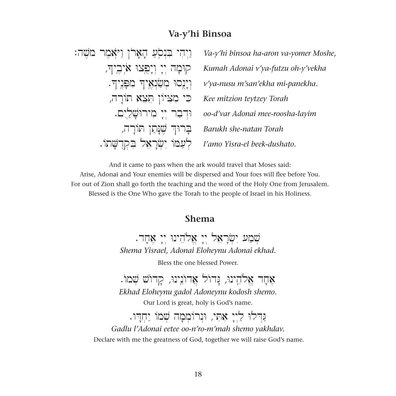#### Va-y'hi Binsoa

וַיִּהִי בִּנְסִׂעַ הָאֲרֹן וַיֹּאֲמֶר מִשֶׁה: Va-y'hi binsoa ha-aron va-yomer Moshe, קוּמַה יְיַ וְיַפְצוּ אֹיָבֵידּ, Kumah Adonai v'ya-futzu oh-y'vekha וִיָּנֶסוּ מִשַּׂנְאֵיךְ מִפָּנֵיךְ. v'ya-nusu m'san'ekha mi-panekha. כִּי מְצִיוֹן חֵצֵא תוֹרָה, Kee mitzion teytzey Torah ודבר יי מירוּשׁלים. oo-d'var Adonai mee-roosha-layim Barukh she-natan Torah — בַּרוּדְ שָׁנַּתַן תּוֹרַה, לעמו ישראל בקדשתו. l'amo Yisra-el beek-dushato.

And it came to pass when the ark would travel that Moses said: Arise, Adonai and Your enemies will be dispersed and Your foes will flee before You. For out of Zion shall go forth the teaching and the word of the Holy One from Jerusalem. Blessed is the One Who gave the Torah to the people of Israel in his Holiness.

#### **Shema**

שִׁמַע יִשְׂרָאֵל יִיָ אֲלֹהִינוּ יִיָ אָחָד. Shema Yisrael, Adonai Eloheynu Adonai ekhad. Bless the one blessed Power.

אחד אלהינו, גדול אדונינו, קדוש שמו. Ekhad Eloheynu gadol Adoneynu kodosh shemo. Our Lord is great, holy is God's name.

גדלו ליי אתי, ונרוממה שמו יחדו. Gadlu l'Adonai eetee oo-n'ro-m'mah shemo yakhdav. Declare with me the greatness of God, together we will raise God's name.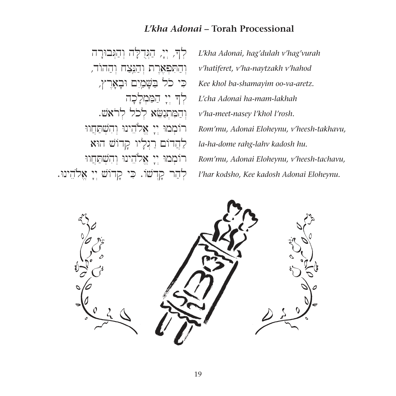#### *L'kha Adonai* **– Torah Processional**

לִ<mark>דּ, יִי, הַגִּרְלָה וְהַגִּבוּרָה</mark> `וִהַתְּפִאֲרֵת וְהַנֵּצַח וְהַהוֹד, ּ⊂ִי כֹל בַּשְׁמַיִם וּבְאָרֶץ*,* לב ה: בֿפֿלכֿ וֹהַמְתְנַשָּׁא לְכֹל לְרֹאשׁ. רוֹמְמוּ יְיָ אֱלֹהֵינוּ וְהִשְׁתַּחֲווּ לַחֲדוֹם רַגְלָיו קָדוֹשׁ הוּא לְהַר קְרָשׁוֹ. כִּי קָדוֹשׁ יְיָ אֱלֹהֵינוּ.

רוֹמְמוּ יִי אֱלֹהֵינוּ וְהִשְׁתַחֲווּ *Rom'mu, Adonai Eloheynu, v'heesh-tachavu, L'kha Adonai, hag'dulah v'hag'vurah v'hatiferet, v'ha-naytzakh v'hahod Kee khol ba-shamayim oo-va-aretz. L'cha Adonai ha-mam-lakhah v'ha-meet-nasey l'khol l'rosh. Rom'mu, Adonai Eloheynu, v'heesh-takhavu, la-ha-dome rahg-lahv kadosh hu. l'har kodsho, Kee kadosh Adonai Eloheynu.*

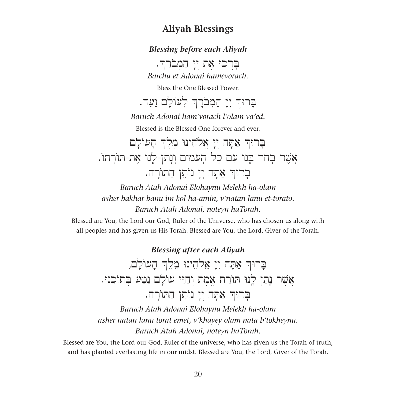### **Aliyah Blessings**

*Blessing before each Aliyah*

בָּרִכוּ אָת יִי הַמְּבֹרָךּ. *Barchu et Adonai hamevorach.* Bless the One Blessed Power. ברוד יי המברד לעולם ועד. *Baruch Adonai ham'vorach l'olam va'ed.* Blessed is the Blessed One forever and ever. בְרוּךְ אַתָּה יִי אֲלֹהֵינוּ מֵלֵךְ הָעוֹלָם אֵשֶׁר בַּחַר בֵּנוּ עִם כַּל הַעֲמִים וְנֵתַן-לֵנוּ אֶת-תּוֹרַתוֹ. ברוּךְ אַתָּה יֵי נוֹתֵן הַתּוֹרָה.

*Baruch Atah Adonai Elohaynu Melekh ha-olam asher bakhar banu im kol ha-amin, v'natan lanu et-torato. Baruch Atah Adonai, noteyn haTorah.*

Blessed are You, the Lord our God, Ruler of the Universe, who has chosen us along with all peoples and has given us His Torah. Blessed are You, the Lord, Giver of the Torah.

> *Blessing after each Aliyah* בְרוּךְ אַתָּה יְיָ אֵלֹהֵינוּ מֵלֵךְ הָעוֹלָם, אֲשֶׁר נֶתַן לֵנוּ חוֹרַת אֵמֶת וְחַיֵּי עוֹלָם נָטַע בִתוֹכִנוּ. בַרוּךְ אַתָּה יִיַ נוֹתֵן הַתּוֹרָה.

*Baruch Atah Adonai Elohaynu Melekh ha-olam asher natan lanu torat emet, v'khayey olam nata b'tokheynu. Baruch Atah Adonai, noteyn haTorah.*

Blessed are You, the Lord our God, Ruler of the universe, who has given us the Torah of truth, and has planted everlasting life in our midst. Blessed are You, the Lord, Giver of the Torah.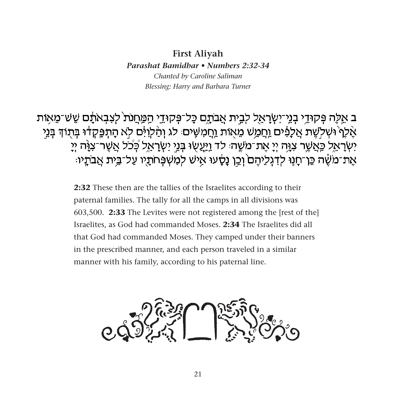## **First Aliyah**  *Parashat Bamidbar • Numbers 2:32-34*

*Chanted by Caroline Saliman Blessing: Harry and Barbara Turner*

ב אֱלֶה פְּקוּדֵי בְנֵי־יִשְׂרָאֵל לְבֵית אֲבֹתֶם כָּל־פְּקוּדֵי הַמַּחֲנֹת לְצִבְאֹתָם שֵׁשׁ־מֵאָוֹת אֶלֶף וּשְׁלְשֶׁת אֲלָפִ֫ים וַחֲמֵ֥שׁ מֵאֻוֹּת וַחֲמִשִּׁים: לג וְהַ֫לְוִיּּ֥ם לְא הָתְכֵּ֣קְדֹוּ בְּתֻוֹדְ בְּנֵי יִשְׂרָאֵל כַּאֲשֶׁר צִוָּה יְיָ אֶת־מֹשֶׁה ּלד וַיַּעֲשֶׂוּ בְּנֵי יִשְׂרָאֵל כְּבۡלَ אֲשֶׁר־צִוּ֥ה יְיָ אֶת־מֹשֶׁה כֵּן־חֲנֵוּ לִדְגִלְיהֶם וְכֵן נַסָּעוּ אֵישׁ לִמְשִׁפְּחֹתַיִּוּ עֲל־בֵּית אֲבֹתֵיוּ:

> **2:32** These then are the tallies of the Israelites according to their paternal families. The tally for all the camps in all divisions was 603,500. **2:33** The Levites were not registered among the [rest of the] Israelites, as God had commanded Moses. **2:34** The Israelites did all that God had commanded Moses. They camped under their banners in the prescribed manner, and each person traveled in a similar manner with his family, according to his paternal line.

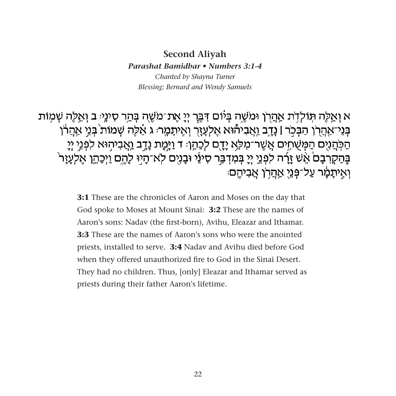## **Second Aliyah**  *Parashat Bamidbar • Numbers 3:1-4*

*Chanted by Shayna Turner Blessing: Bernard and Wendy Samuels*

א וְאֵלֶה תְּוֹלְדָת אַהֲרֹן וּמֹשֶׁה בְּיֹוֹם דִּבֶּרְ יְיָ אֶת־מֹשֶׁה בְּהַר סִינְיּ ב וְאֵלֶה שְׁמִוֹת בְּנֵי־אַהֲרֹן הַבְּכִֹר | נָדֶב וַאֲבִיהוּא אֱלְעֶזֶרְ וְאֵיתָמֶר: ג אֱׁלֶה שְׁמוֹת בְּנֵי אֲהֲרֹׂן ּהַכְּהֲנָיָם הַמְּשֻׁחֶיִם אֲשֶׁר־מִלֹּאֲ יָדֶם לְכַּהֵן: דֹ וַיָּמָת נָדֶב וַאֲבִיהִוּא לִפְנֵי יְיָ בְּהַקְרְבָם אֵׁשׁ זָרָה לִפְנֵי יִיַ בִּמְדְבַּר סִינַּי וּבָנִיֶם לְא־הָיִוּ לָהֶם וַיִּכְהֵן אֵלְעָזָר ואיתמר על־פני אהרו אביהם:

> **3:1** These are the chronicles of Aaron and Moses on the day that God spoke to Moses at Mount Sinai: **3:2** These are the names of Aaron's sons: Nadav (the first-born), Avihu, Eleazar and Ithamar. **3:3** These are the names of Aaron's sons who were the anointed priests, installed to serve. **3:4** Nadav and Avihu died before God when they offered unauthorized fire to God in the Sinai Desert. They had no children. Thus, [only] Eleazar and Ithamar served as priests during their father Aaron's lifetime.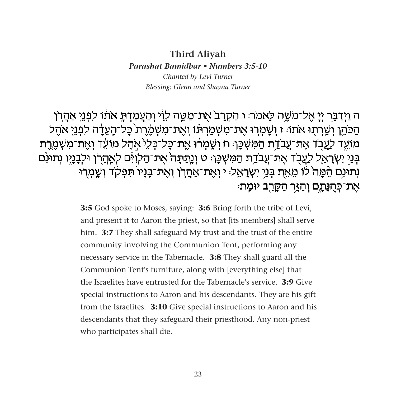# **Third Aliyah**  *Parashat Bamidbar • Numbers 3:5-10*

*Chanted by Levi Turner Blessing: Glenn and Shayna Turner*

ֶה וַיִּדַבֵּר יִיַ אֱל־מֹשֶׁה לֵאמְר: ו הַקְרֵב אֶת־מַטֵּה לְוַי וְהַעֲמַדְתָּ אֹתוֹ לִפְנֵי אֲהַרְן ְהַכֹּהֶן וְשֵׁרְתָוּ אֹתְוֹּ ז וְשָׁמְרֵוּ אֶת־מִשְׁמַרְתֹּוֹ וְאֶת־מִשְׁמֶׂרָת ּבָל־הֲעֵדָ֫ה לִפְנֵי אֲהֶל מוֹעֵד לַעֲבָד אֶת־עֲבֹדֶת הַמִּשְׁכֵּן: ח וְשָׁמְרוּ אֶת־כָּל־כִּלֵי אָהֶל מוֹעֵד וְאֶת־מִשְׁמֶרֶת בְּנֵי יִשְׂרָאֵל לַעֲבָד אֶת־עֲבֹדֵת הַמִּשְׁכֵּן: ט וְנָתַתָּה אֶת־הַלְוִיּּם לְאַהֲרָן וּלְבָנָיִו נְתוּנִם וְתוּנֶם הֶמָּה לוֹ מֵאֶת בְּנֵי יִשְׂרָאֱל: י וְאֶת־אֲהֲרָן וְאֶת־בַּנָיו תִּפְקֹד וְשֶׁמְרִוּ את־כּהִנַּתַם וְהַזֵּר הַקַּרֶב יוּמַת:

> **3:5** God spoke to Moses, saying: **3:6** Bring forth the tribe of Levi, and present it to Aaron the priest, so that [its members] shall serve him. **3:7** They shall safeguard My trust and the trust of the entire community involving the Communion Tent, performing any necessary service in the Tabernacle. **3:8** They shall guard all the Communion Tent's furniture, along with [everything else] that the Israelites have entrusted for the Tabernacle's service. **3:9** Give special instructions to Aaron and his descendants. They are his gift from the Israelites. **3:10** Give special instructions to Aaron and his descendants that they safeguard their priesthood. Any non-priest who participates shall die.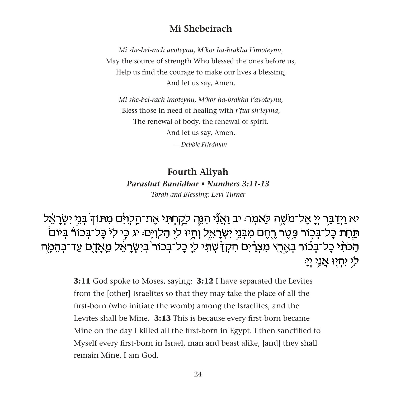#### **Mi Shebeirach**

*Mi she-bei-rach avoteynu, M'kor ha-brakha l'imoteynu*, May the source of strength Who blessed the ones before us, Help us find the courage to make our lives a blessing, And let us say, Amen.

*Mi she-bei-rach imoteynu, M'kor ha-brakha l'avoteynu,* Bless those in need of healing with *r'fua sh'leyma*, The renewal of body, the renewal of spirit. And let us say, Amen. *—Debbie Friedman*

**Fourth Aliyah**  *Parashat Bamidbar • Numbers 3:11-13 Torah and Blessing: Levi Turner*

יא וַיִדַּבֵּר יִיַ אֱל־מֹשֶׁה לֵאמְר: יב וַאֲנִי הִנֵּה לַקְחִתִּי אֶת־הַלְוִיּּם מִתּוֹךְ בִּנֵי יִשְׂרָאֵל תַּחֲת כָּל־בְּכָוֹר פֶּטֶר רֶחֶם מִבְּגֵי יִשְׂרָאֵל וְהָיוּ לִי הַלְוִיָּם: יג כְּי לִיٓ כָּל־בְּכוֹרֹ בְּיוֹם הַכּוֹלִי כָל־בְּכוֹר בְּאֱרֶץ מִצְרַיִם הִקְדַּ֫שְׁתִּי לִיָ כָל־בְּכוֹר בְּיִשְׂרָאֵל מֵאֲדָֻם עַד־בְּהֵמֶה ּלֵי יַהְיִוּ אֲנֵי יִיַּ

> **3:11** God spoke to Moses, saying: **3:12** I have separated the Levites from the [other] Israelites so that they may take the place of all the first-born (who initiate the womb) among the Israelites, and the Levites shall be Mine. **3:13** This is because every first-born became Mine on the day I killed all the first-born in Egypt. I then sanctified to Myself every first-born in Israel, man and beast alike, [and] they shall remain Mine. I am God.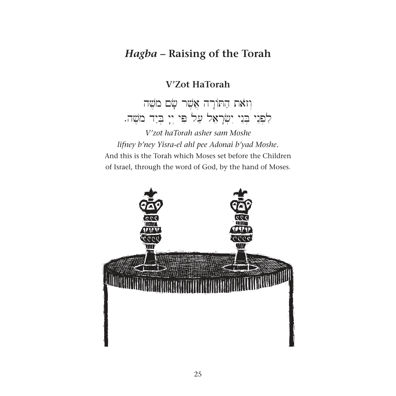# *Hagba* **– Raising of the Torah**

**V'Zot HaTorah**

וְזֹאת הַתּוֹרָה אֲשֶׁר שָׂם מֹשֶׁה לִפְנֵי בְּנֵי יִשְׂרָאֵל עַל פִּי יְיָ בְּיַד מֹשֶׁה.

*V'zot haTorah asher sam Moshe lifney b'ney Yisra-el ahl pee Adonai b'yad Moshe.* And this is the Torah which Moses set before the Children of Israel, through the word of God, by the hand of Moses.

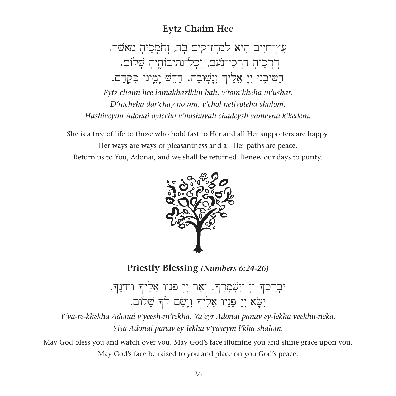# **Eytz Chaim Hee**

עֵץ־חַיִּים הִיא לַמַּחֲזִיקִים בָּהּ, וְתֹמְכֶיהָ מְאָשָׁר. דִּרְכֵיהַ דַרְכִי־נִעֲם, וְכָל־נְתִיבוֹתֵיהַ שָׁלוֹם. הַשִׁיִּבְנוּ יִיָ אֲלֵיךְ וְנָשְׁוּבָה. חַדֵּשׁ יָמֵינוּ כִּקֵרֵם. Eytz chaim hee lamakhazikim bah, v'tom'kheha m'ushar.

D'racheha dar'chay no-am, v'chol netivoteha shalom. Hashiveynu Adonai aylecha v'nashuvah chadeysh yameynu k'kedem.

She is a tree of life to those who hold fast to Her and all Her supporters are happy. Her ways are ways of pleasantness and all Her paths are peace. Return us to You, Adonai, and we shall be returned. Renew our days to purity.



**Priestly Blessing (Numbers 6:24-26)** 

יְבְרֶכְךְ יְיָ וְיִשְׁמְרֶךָ. יְאֵר יְיָ פְּנִיו אֵלֶיךָ וִיחֻנֶךָ.<br>יִ יִשָּׂא יַיַ פַּנָיו אֲלֵיךְ וְיָשָׂם לְךְ שָׁלוֹם.

Y'va-re-khekha Adonai v'yeesh-m'rekha. Ya'eyr Adonai panav ey-lekha veekhu-neka. Yisa Adonai panav ey-lekha v'yaseym l'kha shalom.

May God bless you and watch over you. May God's face illumine you and shine grace upon you.

May God's face be raised to you and place on you God's peace.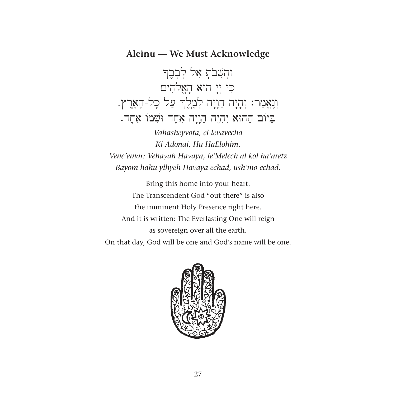### Aleinu — We Must Acknowledge

וַהֲשֵׁבֹתָ אֵל לְבָבֶך כִּי יְיָ הוּא הָאֱלֹהִים וְנֶאֱמַר: וְהָיָה הַוְיָה לְמֶלֶךְ עַל כָּל-הָאָרֶץ. ּבַיּוֹם הַהוּא יִהְיֵה הַנְיָה אֲחָד וּשָׁמֹוֹ אִחָד. Vahasheyvota, el levavecha

Ki Adonai, Hu HaElohim. Vene'emar: Vehayah Havaya, le'Melech al kol ha'aretz Bayom hahu yihyeh Havaya echad, ush'mo echad.

Bring this home into your heart. The Transcendent God "out there" is also the imminent Holy Presence right here. And it is written: The Everlasting One will reign as sovereign over all the earth. On that day, God will be one and God's name will be one.

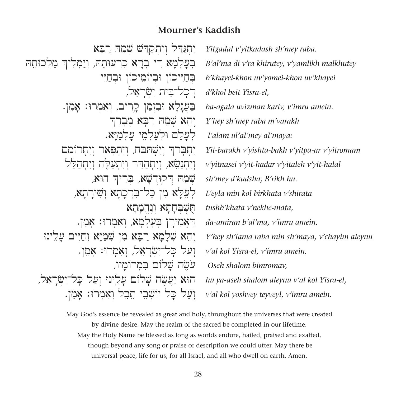### **Mourner's Kaddish**

יִתְגַּדַל וְיִתְקַדִּשׁ שְׁמֵהּ רַבְא Yitgadal v'yitkadash sh'mey raba. בְּעָלְמָא דִי בְרָא כִרְעוּתֵהּ, וְיַמְלִיךְ מַלְכוּתֵהּ B'al'ma di v'ra khirutey, v'yamlikh malkhutey בִּחֲיֵיכוֹן וּבִיוֹמֵיכוֹן וּבְחַיֵּי b'khayei-khon uv'yomei-khon uv'khayei דִכָל־בֵּית יִשְׂרָאֵל, d'khol beit Yisra-el, בַּעֲנָלָא וּבִזְמַן קָרִיב, וְאָמְרוּ: אָמֵן. ba-agala uvizman kariv, v'imru amein. יִהֵא שְׁמָהּ רַבָּא מִבָּרַךְ Y'hey sh'mey raba m'varakh לִעָּלַם וּלִעָּלְמֵי עָלִמַיָּא. l'alam ul'al'mey al'maya: יִתְבָּרַךְ וְיִשְׁתַּבָּח, וְיִתְפָּאַר וְיִתְרוֹמֵם Yit-barakh v'yishta-bakh v'yitpa-ar v'yitromam וִיִתְנַשֵּׂא, וְיִתְהַדַּר וְיִתְעַלֵּה וְיִתְהַלַּל v'yitnasei v'yit-hadar v'yitaleh v'yit-halal שִׁמֲה דִּקוּדְשָׁא, בְּרִיךְ הוּא, sh'mey d'kudsha, B'rikh hu. לְעֵלְא מִן כָּל־בִּרְכָתָא וִשִׁירָתָא, L'eyla min kol birkhata v'shirata הַשִּׁבְּחָתָא וְנֵחֵמָתָא tushb'khata v'nekhe-mata. דַאֲמִירָן בִעָלִמָא, וְאָמְרוּ: אָמֵן. da-amiran b'al'ma, v'imru amein. יְהָא שְׁלַמָּא רַבָּא מִן שְׁמַיָּא וְחַיִּים עַלֵינוּ Y'hey sh'lama raba min sh'maya, v'chayim aleynu וִעַל כָּל־יִשְׂרָאֵל, וְאִמְרוּ: אָמֵן. v'al kol Yisra-el, v'imru amein. עֹשֶׂה שַׁלוֹם בִּמְרוֹמַיו, Oseh shalom bimromav, הוא יַעֲשֶׂה שָׁלוֹם עַלֵינוּ וְעַל כַּל־יִשְׂרָאֲל, hu ya-aseh shalom aleynu v'al kol Yisra-el, וְעַל כַּל יוֹשָׁבֵי חֲבֵל וְאַמְרוּ: אֲמֵן. v'al kol yoshvey teyveyl, v'imru amein.

> May God's essence be revealed as great and holy, throughout the universes that were created by divine desire. May the realm of the sacred be completed in our lifetime. May the Holy Name be blessed as long as worlds endure, hailed, praised and exalted, though beyond any song or praise or description we could utter. May there be universal peace, life for us, for all Israel, and all who dwell on earth. Amen.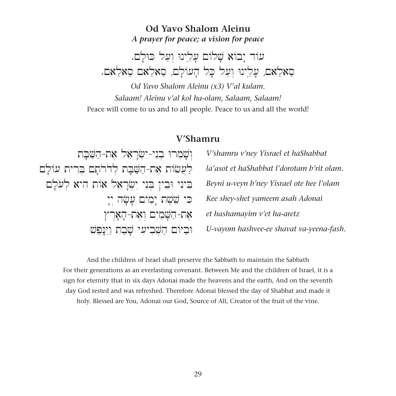### **Od Yavo Shalom Aleinu** *A prayer for peace; a vision for peace*

עוֹד יבוֹא שׁלוֹם עלינוּ ועל כּוּלם. סַאלַאם, עַלֵינוּ וִעַל כָּל הַעוֹלַם, סַאלַאם סַאלַאם.

*Od Yavo Shalom Aleinu (x3) V'al kulam. Salaam! Aleinu v'al kol ha-olam, Salaam, Salaam!* Peace will come to us and to all people. Peace to us and all the world!

#### **V'Shamru**

וֹשַׁמִרוּ בְנֵי-יְשָׂרַאֵל אֶת-הַשַּׁבַּת לַעֲשׂוֹת אֶת-הַשֲׁבָּת לְדֹרֹתָם בִּרִית עוֹלָם בִינִי וּבִין בִּנֵי יִשְׂרַאֵל אוֹת הִיא לְעֹלַם כִּי שֵׁשֵׁת יַמִּים עַשַׂה יִיַ אֵת-הַשֲׁמַיִם וְאֵת-הָאַרֵץ וּבִיּוֹם הַשָּׁבִיעִי שַׁבַת וַיִּנִפַּשׁ

*V'shamru v'ney Yisrael et haShabbat la'asot et haShabbat l'dorotam b'rit olam. Beyni u-veyn b'ney Yisrael ote hee l'olam Kee shey-shet yameem asah Adonai et hashamayim v'et ha-aretz U-vayom hashvee-ee shavat va-yeena-fash.* 

And the children of Israel shall preserve the Sabbath to maintain the Sabbath For their generations as an everlasting covenant. Between Me and the children of Israel, it is a sign for eternity that in six days Adonai made the heavens and the earth, And on the seventh day God rested and was refreshed. Therefore Adonai blessed the day of Shabbat and made it holy. Blessed are You, Adonai our God, Source of All, Creator of the fruit of the vine.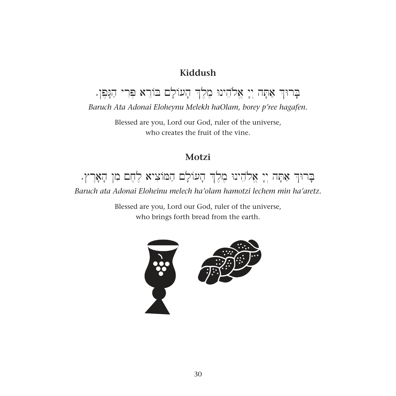# Kiddush

# בְרוּךְ אַתָּה יְיָ אֱלֹהֵינוּ מֶלֶךְ הָעוֹלָם בּוֹרֵא פְּרִי הַגָּפִן.

Baruch Ata Adonai Eloheynu Melekh haOlam, borey p'ree hagafen.

Blessed are you, Lord our God, ruler of the universe, who creates the fruit of the vine.

### Motzi

# בְרוּךְ אַתָּה יְיָ אֱלֹהֵינוּ מֶלֶךְ הָעוֹלָם הַמּוֹצִיא לֶחֶם מִן הָאָרֶץ.

Baruch ata Adonai Eloheinu melech ha'olam hamotzi lechem min ha'aretz.

Blessed are you, Lord our God, ruler of the universe, who brings forth bread from the earth.

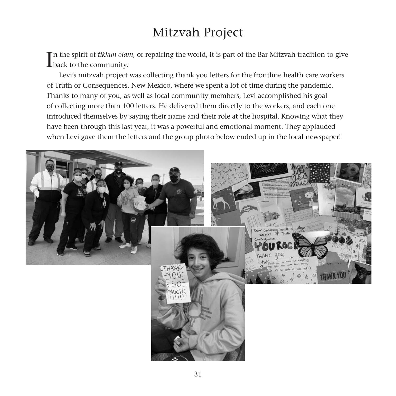# Mitzvah Project

In the spirit of *tikkun olar*<br>back to the community. n the spirit of *tikkun olam*, or repairing the world, it is part of the Bar Mitzvah tradition to give

 Levi's mitzvah project was collecting thank you letters for the frontline health care workers of Truth or Consequences, New Mexico, where we spent a lot of time during the pandemic. Thanks to many of you, as well as local community members, Levi accomplished his goal of collecting more than 100 letters. He delivered them directly to the workers, and each one introduced themselves by saying their name and their role at the hospital. Knowing what they have been through this last year, it was a powerful and emotional moment. They applauded when Levi gave them the letters and the group photo below ended up in the local newspaper!

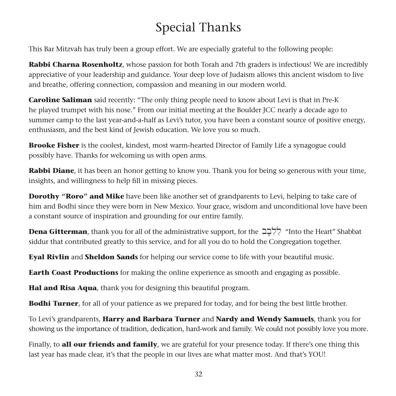# Special Thanks

This Bar Mitzvah has truly been a group effort. We are especially grateful to the following people:

**Rabbi Charna Rosenholtz**, whose passion for both Torah and 7th graders is infectious! We are incredibly appreciative of your leadership and guidance. Your deep love of Judaism allows this ancient wisdom to live and breathe, offering connection, compassion and meaning in our modern world.

**Caroline Saliman** said recently: "The only thing people need to know about Levi is that in Pre-K he played trumpet with his nose." From our initial meeting at the Boulder JCC nearly a decade ago to summer camp to the last year-and-a-half as Levi's tutor, you have been a constant source of positive energy, enthusiasm, and the best kind of Jewish education. We love you so much.

**Brooke Fisher** is the coolest, kindest, most warm-hearted Director of Family Life a synagogue could possibly have. Thanks for welcoming us with open arms.

**Rabbi Diane**, it has been an honor getting to know you. Thank you for being so generous with your time, insights, and willingness to help fill in missing pieces.

**Dorothy "Roro" and Mike** have been like another set of grandparents to Levi, helping to take care of him and Bodhi since they were born in New Mexico. Your grace, wisdom and unconditional love have been a constant source of inspiration and grounding for our entire family.

**Dena Gitterman**, thank you for all of the administrative support, for the  $\frac{1}{2}$ ה "Into the Heart" Shabbat siddur that contributed greatly to this service, and for all you do to hold the Congregation together.

**Eyal Rivlin** and **Sheldon Sands** for helping our service come to life with your beautiful music.

**Earth Coast Productions** for making the online experience as smooth and engaging as possible.

**Hal and Risa Aqua**, thank you for designing this beautiful program.

**Bodhi Turner**, for all of your patience as we prepared for today, and for being the best little brother.

To Levi's grandparents, **Harry and Barbara Turner** and **Nardy and Wendy Samuels**, thank you for showing us the importance of tradition, dedication, hard-work and family. We could not possibly love you more.

Finally, to **all our friends and family**, we are grateful for your presence today. If there's one thing this last year has made clear, it's that the people in our lives are what matter most. And that's YOU!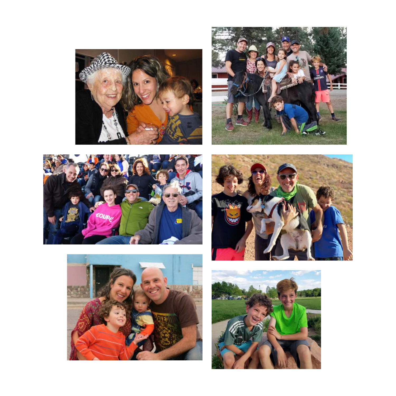